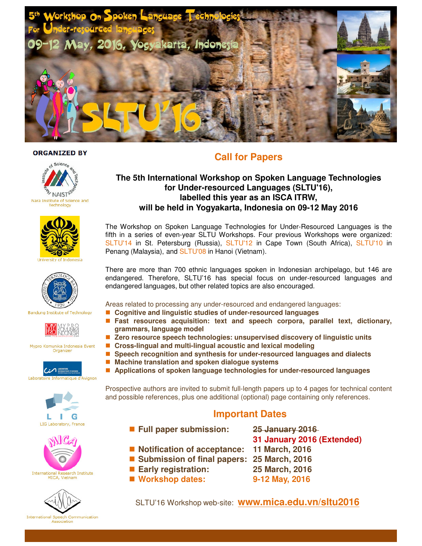

#### **ORGANIZED BY**











Mypro Komunika Indonesia Event Organizer







# International Research Institute<br>MICA, Vietnam



# **Call for Papers**

## **The 5th International Workshop on Spoken Language Technologies for Under-resourced Languages (SLTU'16), labelled this year as an ISCA ITRW, will be held in Yogyakarta, Indonesia on 09-12 May 2016**

The Workshop on Spoken Language Technologies for Under-Resourced Languages is the fifth in a series of even-year SLTU Workshops. Four previous Workshops were organized: SLTU'14 in St. Petersburg (Russia), SLTU'12 in Cape Town (South Africa), SLTU'10 in Penang (Malaysia), and SLTU'08 in Hanoi (Vietnam).

There are more than 700 ethnic languages spoken in Indonesian archipelago, but 146 are endangered. Therefore, SLTU'16 has special focus on under-resourced languages and endangered languages, but other related topics are also encouraged.

Areas related to processing any under-resourced and endangered languages:

- Cognitive and linguistic studies of under-resourced languages
- **Fast resources acquisition: text and speech corpora, parallel text, dictionary, grammars, language model**
- Zero resource speech technologies: unsupervised discovery of linguistic units
- **Cross-lingual and multi-lingual acoustic and lexical modeling**
- **Speech recognition and synthesis for under-resourced languages and dialects**
- Machine translation and spoken dialogue systems

**Applications of spoken language technologies for under-resourced languages**

Prospective authors are invited to submit full-length papers up to 4 pages for technical content and possible references, plus one additional (optional) page containing only references.

## **Important Dates**

- **Full paper submission: 25 January 2016** 
	- **31 January 2016 (Extended)**
- Notification of acceptance: 11 March, 2016
- Submission of final papers: 25 March, 2016
- 
- Workshop dates: 9-12 May, 2016
- 
- 
- **Early registration: 25 March, 2016** 
	-

SLTU'16 Workshop web-site: **www.mica.edu.vn/sltu2016**